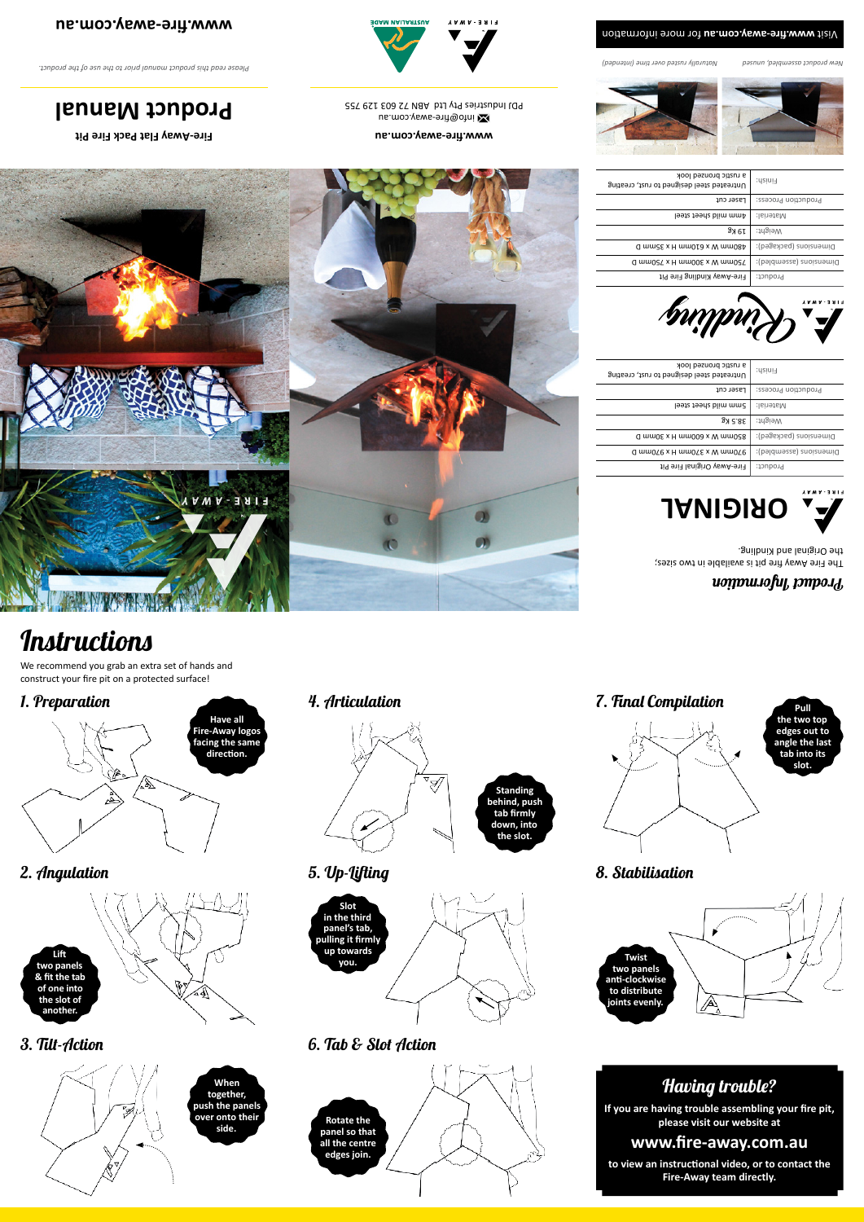**www.fire-away.com.au**

**www.fire-away.com.au** info@fire-away.com.au PDJ Industries Pty Ltd ABN 72 603 129 755

**AUSTRALIAN MADE** 

**Fire-Away Flat Pack Fire Pit**

**Product Manual**

*Please read this product manual prior to the use of the product.* 

We recommend you grab an extra set of hands and construct your fire pit on a protected surface!



# $\boldsymbol{u}$ o $\boldsymbol{m}$ uo $\boldsymbol{m}$ uo $\boldsymbol{m}$ uo $\boldsymbol{m}$

1. Preparation



## Having trouble?

**If you are having trouble assembling your fire pit, please visit our website at**

### **www.fire-away.com.au**

**to view an instructional video, or to contact the Fire-Away team directly.**

2. Angulation

#### 3. Tilt-Action



4. Articulation

5. Up-Lifting



6. Tab & Slot Action

7. Final Compilation

# **Instructions**



**Twist two panels anti-clockwise to distribute**  A **joints evenly.**

ř







**Slot in the third** 





**panel's tab, pulling it firmly up towards you.**



The Fire Away fire pit is available in two sizes; anilbriix bris lanigin O enti-

# **Standing behind, push tab firmly down, into**

**the slot.**







8. Stabilisation



| a rustic bronzed look<br>Untreated steel designed to rust, creating | Finish:                 |
|---------------------------------------------------------------------|-------------------------|
| Laser cut                                                           | Production Process:     |
| Amm mild sheet steel                                                | :lsinetsN:              |
| 19 Kg                                                               | Weight:                 |
| d mm2E x H mm010 x W mm084                                          | Dimensions (packaged):  |
| Q ww0SL x H ww00E x M ww0SL                                         | Dimensions (assembled): |
| Fire-Away Kindling Fire Pit                                         | Product:                |





| a rustic bronzed look<br>Untreated steel designed to rust, creating | Finish:                 |
|---------------------------------------------------------------------|-------------------------|
| Laser cut                                                           | Production Process:     |
| Smm mild sheet steel                                                | :lsinetal:              |
| 38.5 Kg                                                             | :tngieW                 |
| Q wwoc x H wwoog x W mmos8                                          | Dimensions (packaged):  |
| Q ww0/6 x H ww0/E x M ww0/6                                         | Dimensions (assembled): |
| fire-Away Original Fire Pit                                         | Product:                |
|                                                                     |                         |





*Naturally rusted over time (intended) New product assembled, unused*

#### Wisit www.fire-away.com.au tor more information